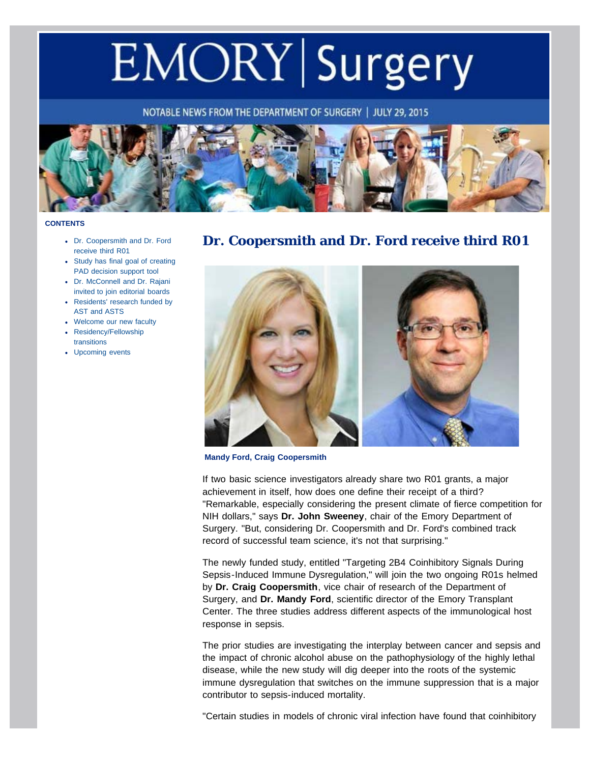# <span id="page-0-1"></span>EMORY Surgery

NOTABLE NEWS FROM THE DEPARTMENT OF SURGERY | JULY 29, 2015



#### <span id="page-0-0"></span>**CONTENTS**

- [Dr. Coopersmith and Dr. Ford](#page-0-0) [receive third R01](#page-0-0)
- [Study has final goal of creating](#page-1-0) [PAD decision support tool](#page-1-0)
- [Dr. McConnell and Dr. Rajani](#page-2-0) [invited to join editorial boards](#page-2-0)
- [Residents' research funded by](#page-3-0) [AST and ASTS](#page-3-0)
- [Welcome our new faculty](#page-4-0)
- [Residency/Fellowship](#page-5-0) [transitions](#page-5-0)
- [Upcoming events](#page-0-1)

## **Dr. Coopersmith and Dr. Ford receive third R01**



**Mandy Ford, Craig Coopersmith**

If two basic science investigators already share two R01 grants, a major achievement in itself, how does one define their receipt of a third? "Remarkable, especially considering the present climate of fierce competition for NIH dollars," says **Dr. John Sweeney**, chair of the Emory Department of Surgery. "But, considering Dr. Coopersmith and Dr. Ford's combined track record of successful team science, it's not that surprising."

The newly funded study, entitled "Targeting 2B4 Coinhibitory Signals During Sepsis-Induced Immune Dysregulation," will join the two ongoing R01s helmed by **Dr. Craig Coopersmith**, vice chair of research of the Department of Surgery, and **Dr. Mandy Ford**, scientific director of the Emory Transplant Center. The three studies address different aspects of the immunological host response in sepsis.

The prior studies are investigating the interplay between cancer and sepsis and the impact of chronic alcohol abuse on the pathophysiology of the highly lethal disease, while the new study will dig deeper into the roots of the systemic immune dysregulation that switches on the immune suppression that is a major contributor to sepsis-induced mortality.

"Certain studies in models of chronic viral infection have found that coinhibitory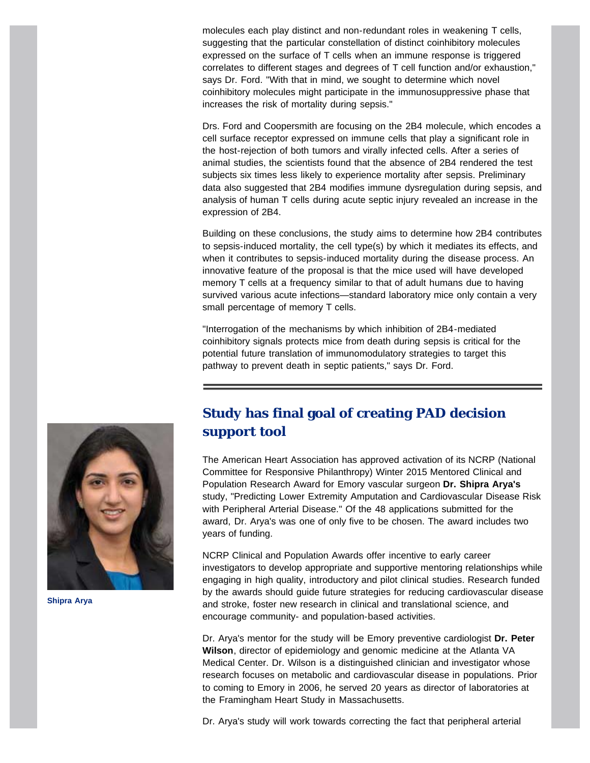molecules each play distinct and non-redundant roles in weakening T cells, suggesting that the particular constellation of distinct coinhibitory molecules expressed on the surface of T cells when an immune response is triggered correlates to different stages and degrees of T cell function and/or exhaustion," says Dr. Ford. "With that in mind, we sought to determine which novel coinhibitory molecules might participate in the immunosuppressive phase that increases the risk of mortality during sepsis."

Drs. Ford and Coopersmith are focusing on the 2B4 molecule, which encodes a cell surface receptor expressed on immune cells that play a significant role in the host-rejection of both tumors and virally infected cells. After a series of animal studies, the scientists found that the absence of 2B4 rendered the test subjects six times less likely to experience mortality after sepsis. Preliminary data also suggested that 2B4 modifies immune dysregulation during sepsis, and analysis of human T cells during acute septic injury revealed an increase in the expression of 2B4.

Building on these conclusions, the study aims to determine how 2B4 contributes to sepsis-induced mortality, the cell type(s) by which it mediates its effects, and when it contributes to sepsis-induced mortality during the disease process. An innovative feature of the proposal is that the mice used will have developed memory T cells at a frequency similar to that of adult humans due to having survived various acute infections—standard laboratory mice only contain a very small percentage of memory T cells.

"Interrogation of the mechanisms by which inhibition of 2B4-mediated coinhibitory signals protects mice from death during sepsis is critical for the potential future translation of immunomodulatory strategies to target this pathway to prevent death in septic patients," says Dr. Ford.

<span id="page-1-0"></span>

#### **Shipra Arya**

## **Study has final goal of creating PAD decision support tool**

The American Heart Association has approved activation of its NCRP (National Committee for Responsive Philanthropy) Winter 2015 Mentored Clinical and Population Research Award for Emory vascular surgeon **Dr. Shipra Arya's** study, "Predicting Lower Extremity Amputation and Cardiovascular Disease Risk with Peripheral Arterial Disease." Of the 48 applications submitted for the award, Dr. Arya's was one of only five to be chosen. The award includes two years of funding.

NCRP Clinical and Population Awards offer incentive to early career investigators to develop appropriate and supportive mentoring relationships while engaging in high quality, introductory and pilot clinical studies. Research funded by the awards should guide future strategies for reducing cardiovascular disease and stroke, foster new research in clinical and translational science, and encourage community- and population-based activities.

Dr. Arya's mentor for the study will be Emory preventive cardiologist **Dr. Peter Wilson**, director of epidemiology and genomic medicine at the Atlanta VA Medical Center. Dr. Wilson is a distinguished clinician and investigator whose research focuses on metabolic and cardiovascular disease in populations. Prior to coming to Emory in 2006, he served 20 years as director of laboratories at the Framingham Heart Study in Massachusetts.

Dr. Arya's study will work towards correcting the fact that peripheral arterial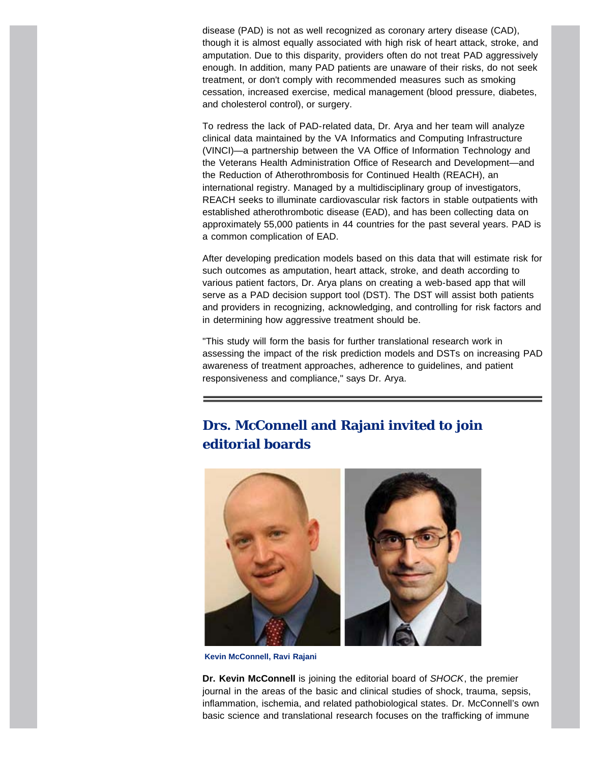disease (PAD) is not as well recognized as coronary artery disease (CAD), though it is almost equally associated with high risk of heart attack, stroke, and amputation. Due to this disparity, providers often do not treat PAD aggressively enough. In addition, many PAD patients are unaware of their risks, do not seek treatment, or don't comply with recommended measures such as smoking cessation, increased exercise, medical management (blood pressure, diabetes, and cholesterol control), or surgery.

To redress the lack of PAD-related data, Dr. Arya and her team will analyze clinical data maintained by the VA Informatics and Computing Infrastructure (VINCI)—a partnership between the VA Office of Information Technology and the Veterans Health Administration Office of Research and Development—and the Reduction of Atherothrombosis for Continued Health (REACH), an international registry. Managed by a multidisciplinary group of investigators, REACH seeks to illuminate cardiovascular risk factors in stable outpatients with established atherothrombotic disease (EAD), and has been collecting data on approximately 55,000 patients in 44 countries for the past several years. PAD is a common complication of EAD.

After developing predication models based on this data that will estimate risk for such outcomes as amputation, heart attack, stroke, and death according to various patient factors, Dr. Arya plans on creating a web-based app that will serve as a PAD decision support tool (DST). The DST will assist both patients and providers in recognizing, acknowledging, and controlling for risk factors and in determining how aggressive treatment should be.

"This study will form the basis for further translational research work in assessing the impact of the risk prediction models and DSTs on increasing PAD awareness of treatment approaches, adherence to guidelines, and patient responsiveness and compliance," says Dr. Arya.

# <span id="page-2-0"></span>**Drs. McConnell and Rajani invited to join editorial boards**



**Kevin McConnell, Ravi Rajani**

**Dr. Kevin McConnell** is joining the editorial board of *SHOCK*, the premier journal in the areas of the basic and clinical studies of shock, trauma, sepsis, inflammation, ischemia, and related pathobiological states. Dr. McConnell's own basic science and translational research focuses on the trafficking of immune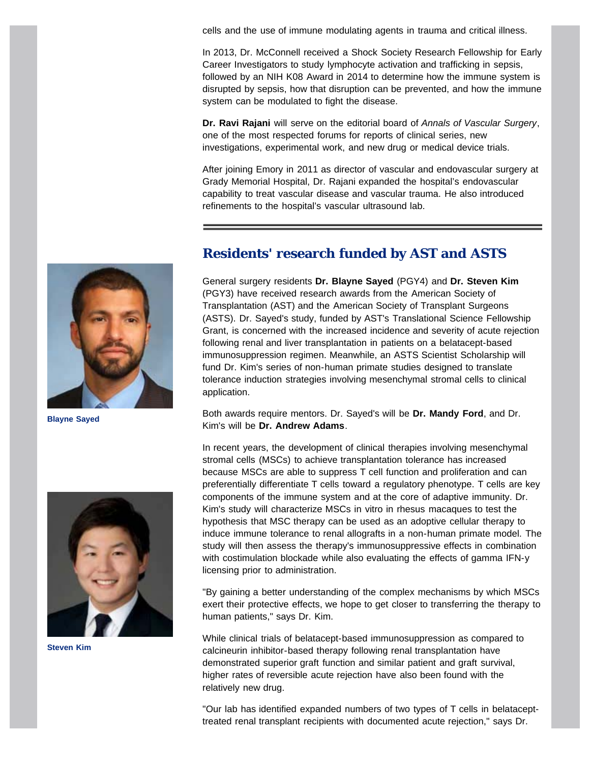cells and the use of immune modulating agents in trauma and critical illness.

In 2013, Dr. McConnell received a Shock Society Research Fellowship for Early Career Investigators to study lymphocyte activation and trafficking in sepsis, followed by an NIH K08 Award in 2014 to determine how the immune system is disrupted by sepsis, how that disruption can be prevented, and how the immune system can be modulated to fight the disease.

**Dr. Ravi Rajani** will serve on the editorial board of *Annals of Vascular Surgery*, one of the most respected forums for reports of clinical series, new investigations, experimental work, and new drug or medical device trials.

After joining Emory in 2011 as director of vascular and endovascular surgery at Grady Memorial Hospital, Dr. Rajani expanded the hospital's endovascular capability to treat vascular disease and vascular trauma. He also introduced refinements to the hospital's vascular ultrasound lab.

<span id="page-3-0"></span>

**Blayne Sayed**

## **Residents' research funded by AST and ASTS**

General surgery residents **Dr. Blayne Sayed** (PGY4) and **Dr. Steven Kim** (PGY3) have received research awards from the American Society of Transplantation (AST) and the American Society of Transplant Surgeons (ASTS). Dr. Sayed's study, funded by AST's Translational Science Fellowship Grant, is concerned with the increased incidence and severity of acute rejection following renal and liver transplantation in patients on a belatacept-based immunosuppression regimen. Meanwhile, an ASTS Scientist Scholarship will fund Dr. Kim's series of non-human primate studies designed to translate tolerance induction strategies involving mesenchymal stromal cells to clinical application.

Both awards require mentors. Dr. Sayed's will be **Dr. Mandy Ford**, and Dr. Kim's will be **Dr. Andrew Adams**.



**Steven Kim**

In recent years, the development of clinical therapies involving mesenchymal stromal cells (MSCs) to achieve transplantation tolerance has increased because MSCs are able to suppress T cell function and proliferation and can preferentially differentiate T cells toward a regulatory phenotype. T cells are key components of the immune system and at the core of adaptive immunity. Dr. Kim's study will characterize MSCs in vitro in rhesus macaques to test the hypothesis that MSC therapy can be used as an adoptive cellular therapy to induce immune tolerance to renal allografts in a non-human primate model. The study will then assess the therapy's immunosuppressive effects in combination with costimulation blockade while also evaluating the effects of gamma IFN-y licensing prior to administration.

"By gaining a better understanding of the complex mechanisms by which MSCs exert their protective effects, we hope to get closer to transferring the therapy to human patients," says Dr. Kim.

While clinical trials of belatacept-based immunosuppression as compared to calcineurin inhibitor-based therapy following renal transplantation have demonstrated superior graft function and similar patient and graft survival, higher rates of reversible acute rejection have also been found with the relatively new drug.

"Our lab has identified expanded numbers of two types of T cells in belatacepttreated renal transplant recipients with documented acute rejection," says Dr.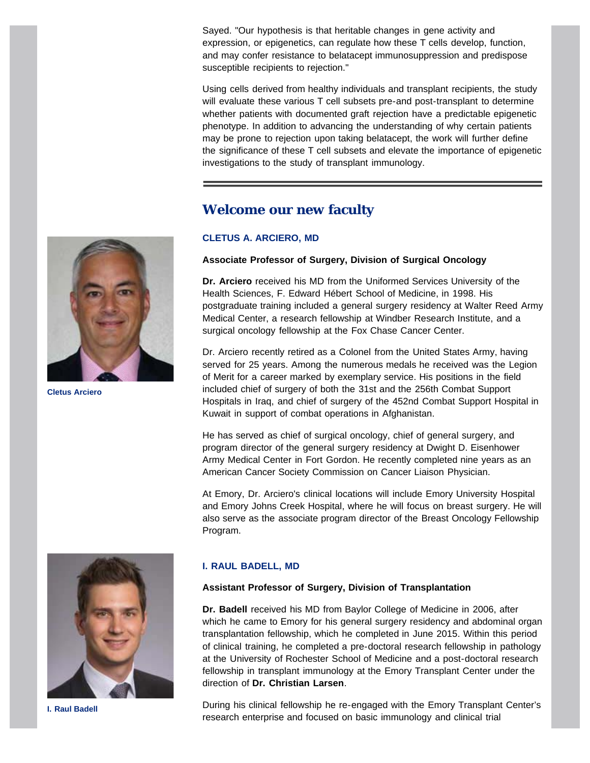Sayed. "Our hypothesis is that heritable changes in gene activity and expression, or epigenetics, can regulate how these T cells develop, function, and may confer resistance to belatacept immunosuppression and predispose susceptible recipients to rejection."

Using cells derived from healthy individuals and transplant recipients, the study will evaluate these various T cell subsets pre-and post-transplant to determine whether patients with documented graft rejection have a predictable epigenetic phenotype. In addition to advancing the understanding of why certain patients may be prone to rejection upon taking belatacept, the work will further define the significance of these T cell subsets and elevate the importance of epigenetic investigations to the study of transplant immunology.

## **Welcome our new faculty**

## **CLETUS A. ARCIERO, MD**

### **Associate Professor of Surgery, Division of Surgical Oncology**

**Dr. Arciero** received his MD from the Uniformed Services University of the Health Sciences, F. Edward Hébert School of Medicine, in 1998. His postgraduate training included a general surgery residency at Walter Reed Army Medical Center, a research fellowship at Windber Research Institute, and a surgical oncology fellowship at the Fox Chase Cancer Center.

Dr. Arciero recently retired as a Colonel from the United States Army, having served for 25 years. Among the numerous medals he received was the Legion of Merit for a career marked by exemplary service. His positions in the field included chief of surgery of both the 31st and the 256th Combat Support Hospitals in Iraq, and chief of surgery of the 452nd Combat Support Hospital in Kuwait in support of combat operations in Afghanistan.

He has served as chief of surgical oncology, chief of general surgery, and program director of the general surgery residency at Dwight D. Eisenhower Army Medical Center in Fort Gordon. He recently completed nine years as an American Cancer Society Commission on Cancer Liaison Physician.

At Emory, Dr. Arciero's clinical locations will include Emory University Hospital and Emory Johns Creek Hospital, where he will focus on breast surgery. He will also serve as the associate program director of the Breast Oncology Fellowship Program.



**I. Raul Badell**

#### **I. RAUL BADELL, MD**

#### **Assistant Professor of Surgery, Division of Transplantation**

**Dr. Badell** received his MD from Baylor College of Medicine in 2006, after which he came to Emory for his general surgery residency and abdominal organ transplantation fellowship, which he completed in June 2015. Within this period of clinical training, he completed a pre-doctoral research fellowship in pathology at the University of Rochester School of Medicine and a post-doctoral research fellowship in transplant immunology at the Emory Transplant Center under the direction of **Dr. Christian Larsen**.

During his clinical fellowship he re-engaged with the Emory Transplant Center's research enterprise and focused on basic immunology and clinical trial

<span id="page-4-0"></span>

**Cletus Arciero**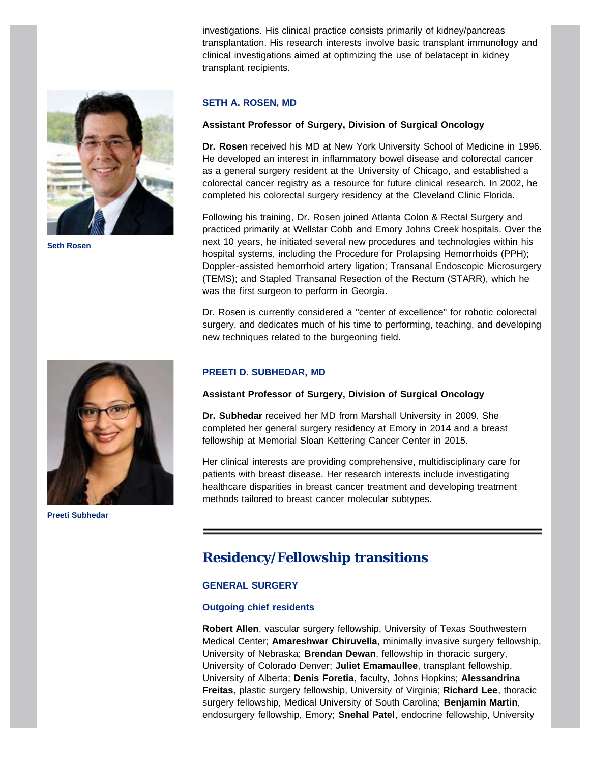investigations. His clinical practice consists primarily of kidney/pancreas transplantation. His research interests involve basic transplant immunology and clinical investigations aimed at optimizing the use of belatacept in kidney transplant recipients.



**Seth Rosen**

<span id="page-5-0"></span>

**Preeti Subhedar**

#### **SETH A. ROSEN, MD**

#### **Assistant Professor of Surgery, Division of Surgical Oncology**

**Dr. Rosen** received his MD at New York University School of Medicine in 1996. He developed an interest in inflammatory bowel disease and colorectal cancer as a general surgery resident at the University of Chicago, and established a colorectal cancer registry as a resource for future clinical research. In 2002, he completed his colorectal surgery residency at the Cleveland Clinic Florida.

Following his training, Dr. Rosen joined Atlanta Colon & Rectal Surgery and practiced primarily at Wellstar Cobb and Emory Johns Creek hospitals. Over the next 10 years, he initiated several new procedures and technologies within his hospital systems, including the Procedure for Prolapsing Hemorrhoids (PPH); Doppler-assisted hemorrhoid artery ligation; Transanal Endoscopic Microsurgery (TEMS); and Stapled Transanal Resection of the Rectum (STARR), which he was the first surgeon to perform in Georgia.

Dr. Rosen is currently considered a "center of excellence" for robotic colorectal surgery, and dedicates much of his time to performing, teaching, and developing new techniques related to the burgeoning field.

#### **PREETI D. SUBHEDAR, MD**

#### **Assistant Professor of Surgery, Division of Surgical Oncology**

**Dr. Subhedar** received her MD from Marshall University in 2009. She completed her general surgery residency at Emory in 2014 and a breast fellowship at Memorial Sloan Kettering Cancer Center in 2015.

Her clinical interests are providing comprehensive, multidisciplinary care for patients with breast disease. Her research interests include investigating healthcare disparities in breast cancer treatment and developing treatment methods tailored to breast cancer molecular subtypes.

## **Residency/Fellowship transitions**

#### **GENERAL SURGERY**

#### **Outgoing chief residents**

**Robert Allen**, vascular surgery fellowship, University of Texas Southwestern Medical Center; **Amareshwar Chiruvella**, minimally invasive surgery fellowship, University of Nebraska; **Brendan Dewan**, fellowship in thoracic surgery, University of Colorado Denver; **Juliet Emamaullee**, transplant fellowship, University of Alberta; **Denis Foretia**, faculty, Johns Hopkins; **Alessandrina Freitas**, plastic surgery fellowship, University of Virginia; **Richard Lee**, thoracic surgery fellowship, Medical University of South Carolina; **Benjamin Martin**, endosurgery fellowship, Emory; **Snehal Patel**, endocrine fellowship, University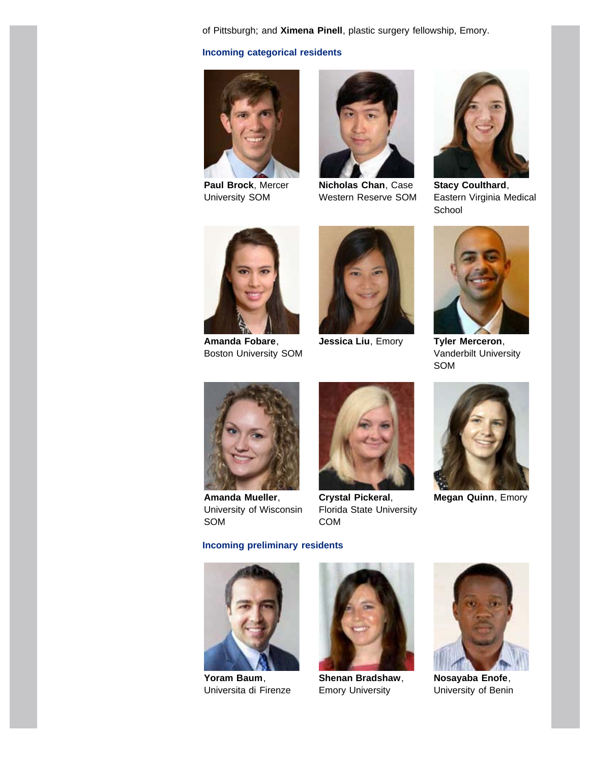of Pittsburgh; and **Ximena Pinell**, plastic surgery fellowship, Emory.

#### **Incoming categorical residents**



**Paul Brock**, Mercer University SOM



**Nicholas Chan**, Case Western Reserve SOM



**Stacy Coulthard**, Eastern Virginia Medical **School** 



**Amanda Fobare**, Boston University SOM



**Jessica Liu**, Emory **Tyler Merceron**,



Vanderbilt University SOM



**Amanda Mueller**, University of Wisconsin SOM



**Crystal Pickeral**, Florida State University COM



**Megan Quinn**, Emory

#### **Incoming preliminary residents**



**Yoram Baum**, Universita di Firenze



**Shenan Bradshaw**, Emory University



**Nosayaba Enofe**, University of Benin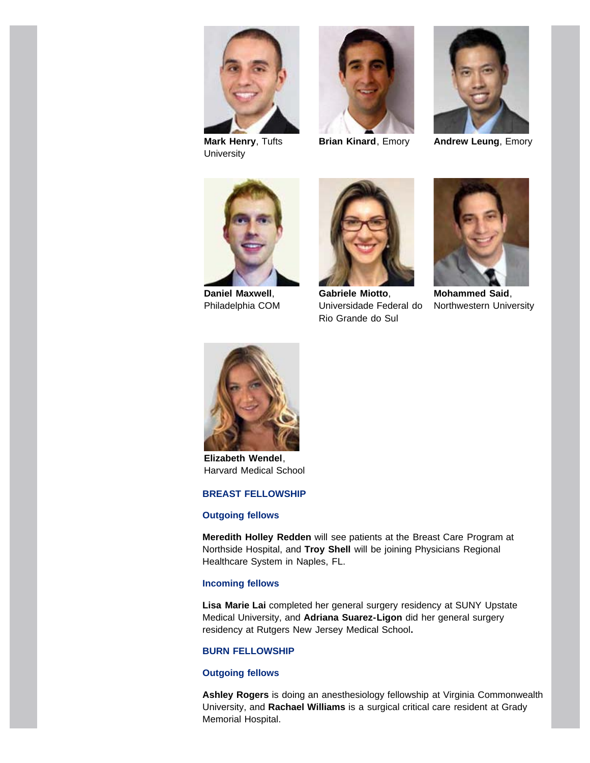

**Mark Henry**, Tufts **University** 





**Brian Kinard**, Emory **Andrew Leung**, Emory



**Daniel Maxwell**, Philadelphia COM



**Gabriele Miotto**, Universidade Federal do Rio Grande do Sul



**Mohammed Said**, Northwestern University



**Elizabeth Wendel**, Harvard Medical School

#### **BREAST FELLOWSHIP**

#### **Outgoing fellows**

**Meredith Holley Redden** will see patients at the Breast Care Program at Northside Hospital, and **Troy Shell** will be joining Physicians Regional Healthcare System in Naples, FL.

#### **Incoming fellows**

**Lisa Marie Lai** completed her general surgery residency at SUNY Upstate Medical University, and **Adriana Suarez-Ligon** did her general surgery residency at Rutgers New Jersey Medical School**.**

#### **BURN FELLOWSHIP**

#### **Outgoing fellows**

**Ashley Rogers** is doing an anesthesiology fellowship at Virginia Commonwealth University, and **Rachael Williams** is a surgical critical care resident at Grady Memorial Hospital.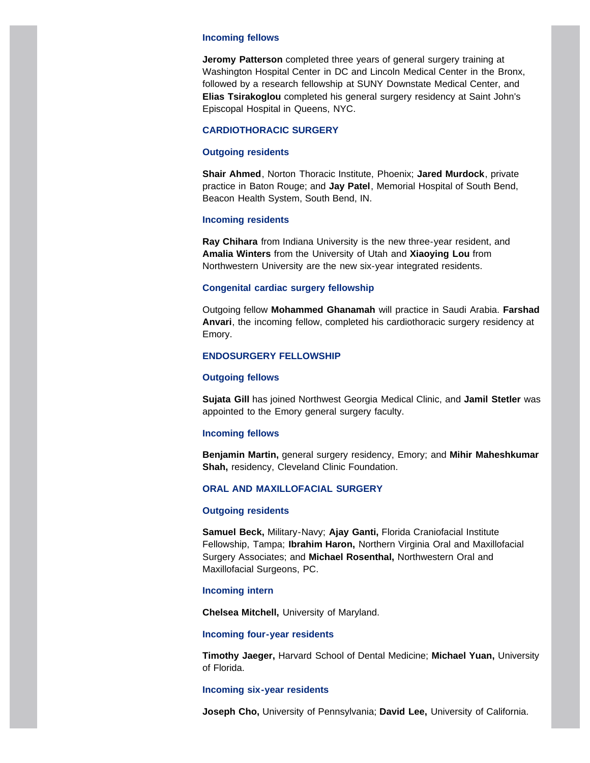#### **Incoming fellows**

**Jeromy Patterson** completed three years of general surgery training at Washington Hospital Center in DC and Lincoln Medical Center in the Bronx, followed by a research fellowship at SUNY Downstate Medical Center, and **Elias Tsirakoglou** completed his general surgery residency at Saint John's Episcopal Hospital in Queens, NYC.

#### **CARDIOTHORACIC SURGERY**

#### **Outgoing residents**

**Shair Ahmed**, Norton Thoracic Institute, Phoenix; **Jared Murdock**, private practice in Baton Rouge; and **Jay Patel**, Memorial Hospital of South Bend, Beacon Health System, South Bend, IN.

#### **Incoming residents**

**Ray Chihara** from Indiana University is the new three-year resident, and **Amalia Winters** from the University of Utah and **Xiaoying Lou** from Northwestern University are the new six-year integrated residents.

#### **Congenital cardiac surgery fellowship**

Outgoing fellow **Mohammed Ghanamah** will practice in Saudi Arabia. **Farshad Anvari**, the incoming fellow, completed his cardiothoracic surgery residency at Emory.

#### **ENDOSURGERY FELLOWSHIP**

#### **Outgoing fellows**

**Sujata Gill** has joined Northwest Georgia Medical Clinic, and **Jamil Stetler** was appointed to the Emory general surgery faculty.

#### **Incoming fellows**

**Benjamin Martin,** general surgery residency, Emory; and **Mihir Maheshkumar Shah,** residency, Cleveland Clinic Foundation.

#### **ORAL AND MAXILLOFACIAL SURGERY**

#### **Outgoing residents**

**Samuel Beck,** Military-Navy; **Ajay Ganti,** Florida Craniofacial Institute Fellowship, Tampa; **Ibrahim Haron,** Northern Virginia Oral and Maxillofacial Surgery Associates; and **Michael Rosenthal,** Northwestern Oral and Maxillofacial Surgeons, PC.

#### **Incoming intern**

**Chelsea Mitchell,** University of Maryland.

#### **Incoming four-year residents**

**Timothy Jaeger,** Harvard School of Dental Medicine; **Michael Yuan,** University of Florida.

#### **Incoming six-year residents**

**Joseph Cho,** University of Pennsylvania; **David Lee,** University of California.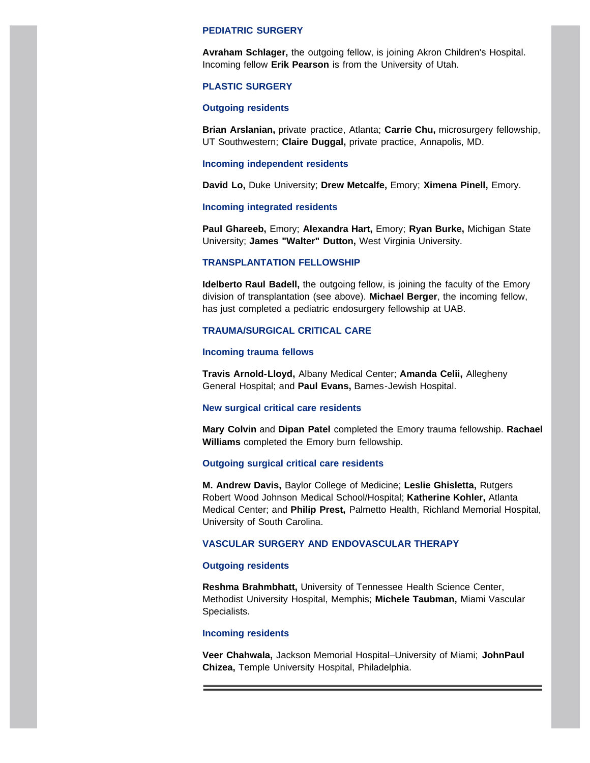#### **PEDIATRIC SURGERY**

**Avraham Schlager,** the outgoing fellow, is joining Akron Children's Hospital. Incoming fellow **Erik Pearson** is from the University of Utah.

#### **PLASTIC SURGERY**

#### **Outgoing residents**

**Brian Arslanian,** private practice, Atlanta; **Carrie Chu,** microsurgery fellowship, UT Southwestern; **Claire Duggal,** private practice, Annapolis, MD.

#### **Incoming independent residents**

**David Lo,** Duke University; **Drew Metcalfe,** Emory; **Ximena Pinell,** Emory.

#### **Incoming integrated residents**

**Paul Ghareeb,** Emory; **Alexandra Hart,** Emory; **Ryan Burke,** Michigan State University; **James "Walter" Dutton,** West Virginia University.

#### **TRANSPLANTATION FELLOWSHIP**

**Idelberto Raul Badell,** the outgoing fellow, is joining the faculty of the Emory division of transplantation (see above). **Michael Berger**, the incoming fellow, has just completed a pediatric endosurgery fellowship at UAB.

#### **TRAUMA/SURGICAL CRITICAL CARE**

#### **Incoming trauma fellows**

**Travis Arnold-Lloyd,** Albany Medical Center; **Amanda Celii,** Allegheny General Hospital; and **Paul Evans,** Barnes-Jewish Hospital.

#### **New surgical critical care residents**

**Mary Colvin** and **Dipan Patel** completed the Emory trauma fellowship. **Rachael Williams** completed the Emory burn fellowship.

#### **Outgoing surgical critical care residents**

**M. Andrew Davis,** Baylor College of Medicine; **Leslie Ghisletta,** Rutgers Robert Wood Johnson Medical School/Hospital; **Katherine Kohler,** Atlanta Medical Center; and **Philip Prest,** Palmetto Health, Richland Memorial Hospital, University of South Carolina.

#### **VASCULAR SURGERY AND ENDOVASCULAR THERAPY**

#### **Outgoing residents**

**Reshma Brahmbhatt,** University of Tennessee Health Science Center, Methodist University Hospital, Memphis; **Michele Taubman,** Miami Vascular Specialists.

#### **Incoming residents**

**Veer Chahwala,** Jackson Memorial Hospital–University of Miami; **JohnPaul Chizea,** Temple University Hospital, Philadelphia.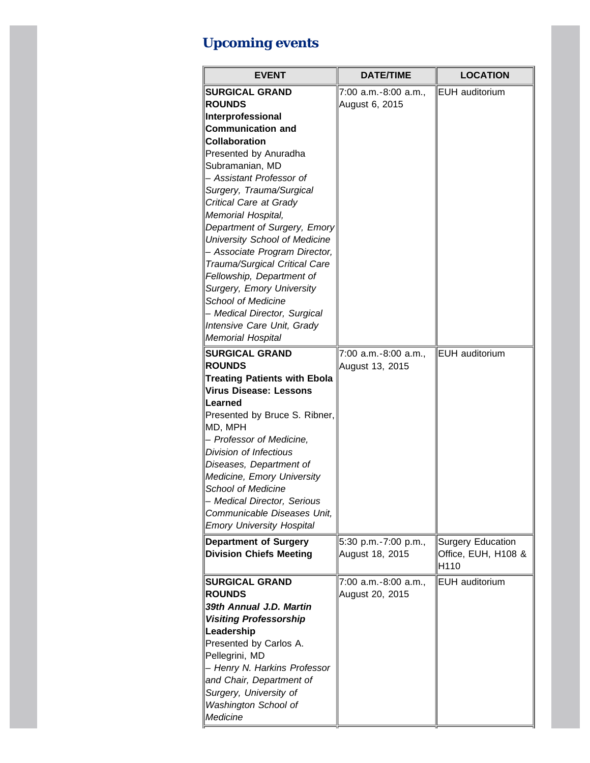# **Upcoming events**

| <b>EVENT</b>                        | <b>DATE/TIME</b>     | <b>LOCATION</b>          |
|-------------------------------------|----------------------|--------------------------|
| <b>SURGICAL GRAND</b>               | 7:00 a.m.-8:00 a.m., | EUH auditorium           |
| <b>ROUNDS</b>                       | August 6, 2015       |                          |
| Interprofessional                   |                      |                          |
| <b>Communication and</b>            |                      |                          |
| <b>Collaboration</b>                |                      |                          |
| Presented by Anuradha               |                      |                          |
| Subramanian, MD                     |                      |                          |
| - Assistant Professor of            |                      |                          |
| Surgery, Trauma/Surgical            |                      |                          |
| Critical Care at Grady              |                      |                          |
| Memorial Hospital,                  |                      |                          |
| Department of Surgery, Emory        |                      |                          |
| University School of Medicine       |                      |                          |
| - Associate Program Director,       |                      |                          |
| Trauma/Surgical Critical Care       |                      |                          |
| Fellowship, Department of           |                      |                          |
| Surgery, Emory University           |                      |                          |
| <b>School of Medicine</b>           |                      |                          |
| - Medical Director, Surgical        |                      |                          |
| Intensive Care Unit, Grady          |                      |                          |
| <b>Memorial Hospital</b>            |                      |                          |
| <b>SURGICAL GRAND</b>               | 7:00 a.m.-8:00 a.m., | <b>EUH</b> auditorium    |
| <b>ROUNDS</b>                       | August 13, 2015      |                          |
| <b>Treating Patients with Ebola</b> |                      |                          |
| <b>Virus Disease: Lessons</b>       |                      |                          |
| Learned                             |                      |                          |
| Presented by Bruce S. Ribner,       |                      |                          |
| MD, MPH                             |                      |                          |
| - Professor of Medicine,            |                      |                          |
| Division of Infectious              |                      |                          |
| Diseases, Department of             |                      |                          |
| Medicine, Emory University          |                      |                          |
| <b>School of Medicine</b>           |                      |                          |
| - Medical Director, Serious         |                      |                          |
| Communicable Diseases Unit,         |                      |                          |
| <b>Emory University Hospital</b>    |                      |                          |
| <b>Department of Surgery</b>        | 5:30 p.m.-7:00 p.m., | <b>Surgery Education</b> |
| <b>Division Chiefs Meeting</b>      | August 18, 2015      | Office, EUH, H108 &      |
|                                     |                      | H110                     |
| <b>SURGICAL GRAND</b>               | 7:00 a.m.-8:00 a.m., | EUH auditorium           |
| <b>ROUNDS</b>                       | August 20, 2015      |                          |
| 39th Annual J.D. Martin             |                      |                          |
| <b>Visiting Professorship</b>       |                      |                          |
| Leadership                          |                      |                          |
| Presented by Carlos A.              |                      |                          |
| Pellegrini, MD                      |                      |                          |
| - Henry N. Harkins Professor        |                      |                          |
| and Chair, Department of            |                      |                          |
| Surgery, University of              |                      |                          |
| Washington School of                |                      |                          |
| Medicine                            |                      |                          |